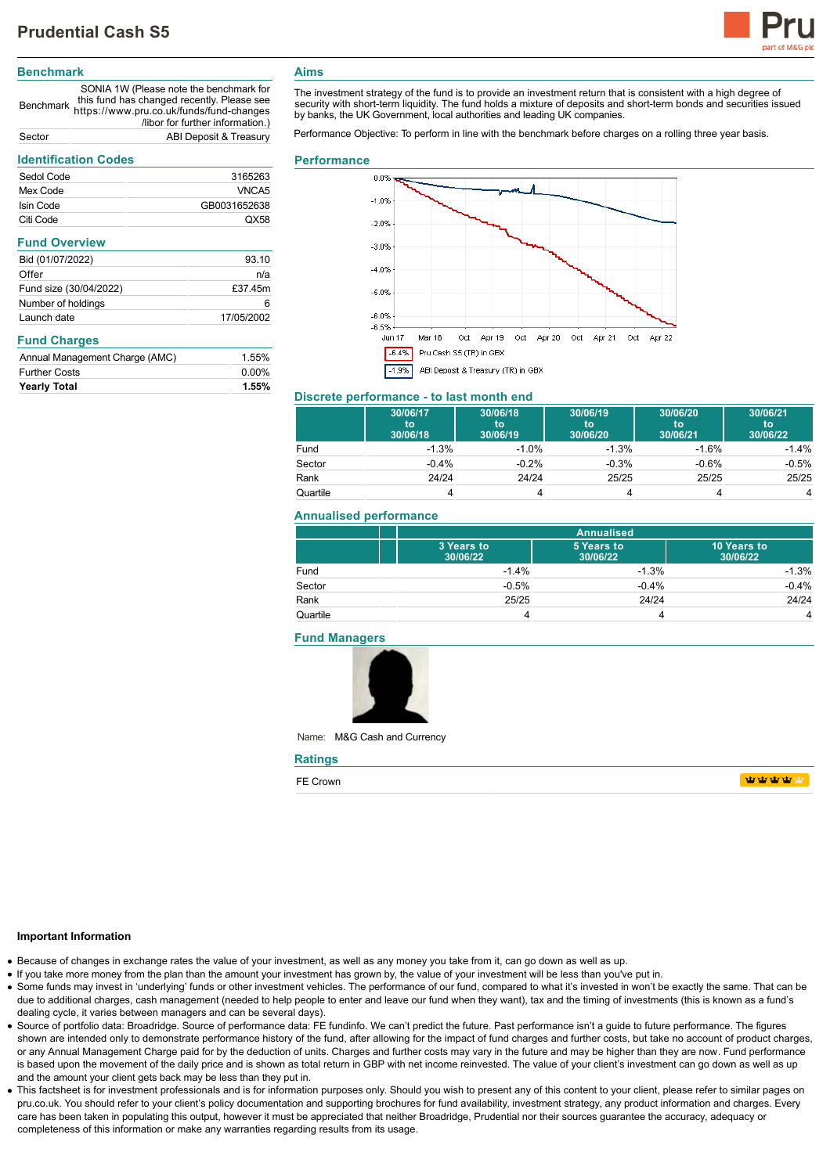

# **Benchmark**

Benchmark https://www.pru.co.uk/funds/fund-changes SONIA 1W (Please note the benchmark for this fund has changed recently. Please see /libor for further information.) Sector ABI Deposit & Treasury

# **Identification Codes**

| identification Codes           |              |  |
|--------------------------------|--------------|--|
| Sedol Code                     | 3165263      |  |
| Mex Code                       | VNCA5        |  |
| Isin Code                      | GB0031652638 |  |
| Citi Code                      | QX58         |  |
| <b>Fund Overview</b>           |              |  |
| Bid (01/07/2022)               | 93.10        |  |
| Offer                          | n/a          |  |
| Fund size (30/04/2022)         | £37.45m      |  |
| Number of holdings             | 6            |  |
| Launch date                    | 17/05/2002   |  |
| <b>Fund Charges</b>            |              |  |
| Annual Management Charge (AMC) | 1.55%        |  |
| <b>Further Costs</b>           | $0.00\%$     |  |
| <b>Yearly Total</b>            | 1.55%        |  |

# **Aims**

The investment strategy of the fund is to provide an investment return that is consistent with a high degree of security with short-term liquidity. The fund holds a mixture of deposits and short-term bonds and securities issued by banks, the UK Government, local authorities and leading UK companies.

Performance Objective: To perform in line with the benchmark before charges on a rolling three year basis.

#### **Performance**



## **Discrete performance - to last month end**

|          | 30/06/17<br>to<br>30/06/18 | 30/06/18<br>to<br>30/06/19 | 30/06/19<br>to<br>30/06/20 | 30/06/20<br>to<br>30/06/21 | 30/06/21<br>to<br>30/06/22 |
|----------|----------------------------|----------------------------|----------------------------|----------------------------|----------------------------|
| Fund     | $-1.3%$                    | $-1.0%$                    | $-1.3%$                    | $-1.6%$                    | $-1.4%$                    |
| Sector   | $-0.4%$                    | $-0.2%$                    | $-0.3%$                    | $-0.6%$                    | $-0.5%$                    |
| Rank     | 24/24                      | 24/24                      | 25/25                      | 25/25                      | 25/25                      |
| Quartile |                            |                            |                            |                            |                            |

#### **Annualised performance**

|          |                        | <b>Annualised</b>      |                         |  |
|----------|------------------------|------------------------|-------------------------|--|
|          | 3 Years to<br>30/06/22 | 5 Years to<br>30/06/22 | 10 Years to<br>30/06/22 |  |
| Fund     | $-1.4%$                | $-1.3%$                | $-1.3%$                 |  |
| Sector   | $-0.5%$                | $-0.4%$                | $-0.4%$                 |  |
| Rank     | 25/25                  | 24/24                  | 24/24                   |  |
| Quartile |                        |                        | 4                       |  |

#### **Fund Managers**



Name: M&G Cash and Currency

| <b>Ratings</b> |                                              |
|----------------|----------------------------------------------|
| FE Crown       | <b>TANA TANA PENDENTAL PERSONAL PROPERTY</b> |

#### **Important Information**

- Because of changes in exchange rates the value of your investment, as well as any money you take from it, can go down as well as up.
- If you take more money from the plan than the amount your investment has grown by, the value of your investment will be less than you've put in.
- Some funds may invest in 'underlying' funds or other investment vehicles. The performance of our fund, compared to what it's invested in won't be exactly the same. That can be due to additional charges, cash management (needed to help people to enter and leave our fund when they want), tax and the timing of investments (this is known as a fund's dealing cycle, it varies between managers and can be several days).
- Source of portfolio data: Broadridge. Source of performance data: FE fundinfo. We can't predict the future. Past performance isn't a guide to future performance. The figures shown are intended only to demonstrate performance history of the fund, after allowing for the impact of fund charges and further costs, but take no account of product charges, or any Annual Management Charge paid for by the deduction of units. Charges and further costs may vary in the future and may be higher than they are now. Fund performance is based upon the movement of the daily price and is shown as total return in GBP with net income reinvested. The value of your client's investment can go down as well as up and the amount your client gets back may be less than they put in.
- This factsheet is for investment professionals and is for information purposes only. Should you wish to present any of this content to your client, please refer to similar pages on pru.co.uk. You should refer to your client's policy documentation and supporting brochures for fund availability, investment strategy, any product information and charges. Every care has been taken in populating this output, however it must be appreciated that neither Broadridge. Prudential nor their sources guarantee the accuracy, adequacy or completeness of this information or make any warranties regarding results from its usage.